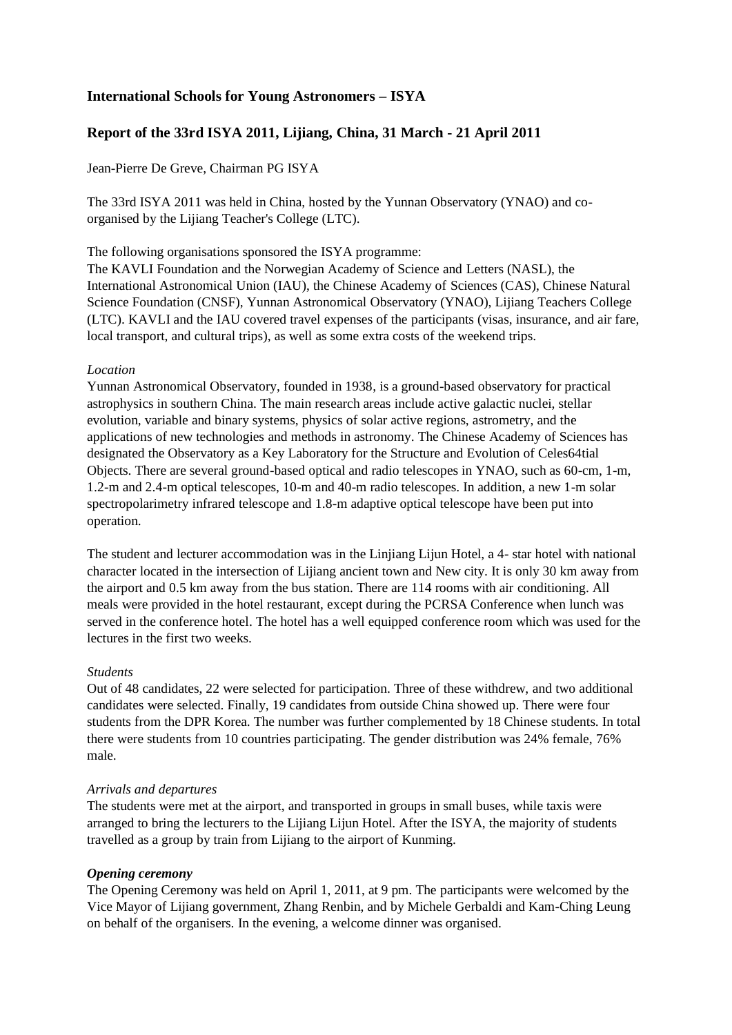# **International Schools for Young Astronomers – ISYA**

# **Report of the 33rd ISYA 2011, Lijiang, China, 31 March - 21 April 2011**

Jean-Pierre De Greve, Chairman PG ISYA

The 33rd ISYA 2011 was held in China, hosted by the Yunnan Observatory (YNAO) and coorganised by the Lijiang Teacher's College (LTC).

The following organisations sponsored the ISYA programme:

The KAVLI Foundation and the Norwegian Academy of Science and Letters (NASL), the International Astronomical Union (IAU), the Chinese Academy of Sciences (CAS), Chinese Natural Science Foundation (CNSF), Yunnan Astronomical Observatory (YNAO), Lijiang Teachers College (LTC). KAVLI and the IAU covered travel expenses of the participants (visas, insurance, and air fare, local transport, and cultural trips), as well as some extra costs of the weekend trips.

## *Location*

Yunnan Astronomical Observatory, founded in 1938, is a ground-based observatory for practical astrophysics in southern China. The main research areas include active galactic nuclei, stellar evolution, variable and binary systems, physics of solar active regions, astrometry, and the applications of new technologies and methods in astronomy. The Chinese Academy of Sciences has designated the Observatory as a Key Laboratory for the Structure and Evolution of Celes64tial Objects. There are several ground-based optical and radio telescopes in YNAO, such as 60-cm, 1-m, 1.2-m and 2.4-m optical telescopes, 10-m and 40-m radio telescopes. In addition, a new 1-m solar spectropolarimetry infrared telescope and 1.8-m adaptive optical telescope have been put into operation.

The student and lecturer accommodation was in the Linjiang Lijun Hotel, a 4- star hotel with national character located in the intersection of Lijiang ancient town and New city. It is only 30 km away from the airport and 0.5 km away from the bus station. There are 114 rooms with air conditioning. All meals were provided in the hotel restaurant, except during the PCRSA Conference when lunch was served in the conference hotel. The hotel has a well equipped conference room which was used for the lectures in the first two weeks.

## *Students*

Out of 48 candidates, 22 were selected for participation. Three of these withdrew, and two additional candidates were selected. Finally, 19 candidates from outside China showed up. There were four students from the DPR Korea. The number was further complemented by 18 Chinese students. In total there were students from 10 countries participating. The gender distribution was 24% female, 76% male.

## *Arrivals and departures*

The students were met at the airport, and transported in groups in small buses, while taxis were arranged to bring the lecturers to the Lijiang Lijun Hotel. After the ISYA, the majority of students travelled as a group by train from Lijiang to the airport of Kunming.

## *Opening ceremony*

The Opening Ceremony was held on April 1, 2011, at 9 pm. The participants were welcomed by the Vice Mayor of Lijiang government, Zhang Renbin, and by Michele Gerbaldi and Kam-Ching Leung on behalf of the organisers. In the evening, a welcome dinner was organised.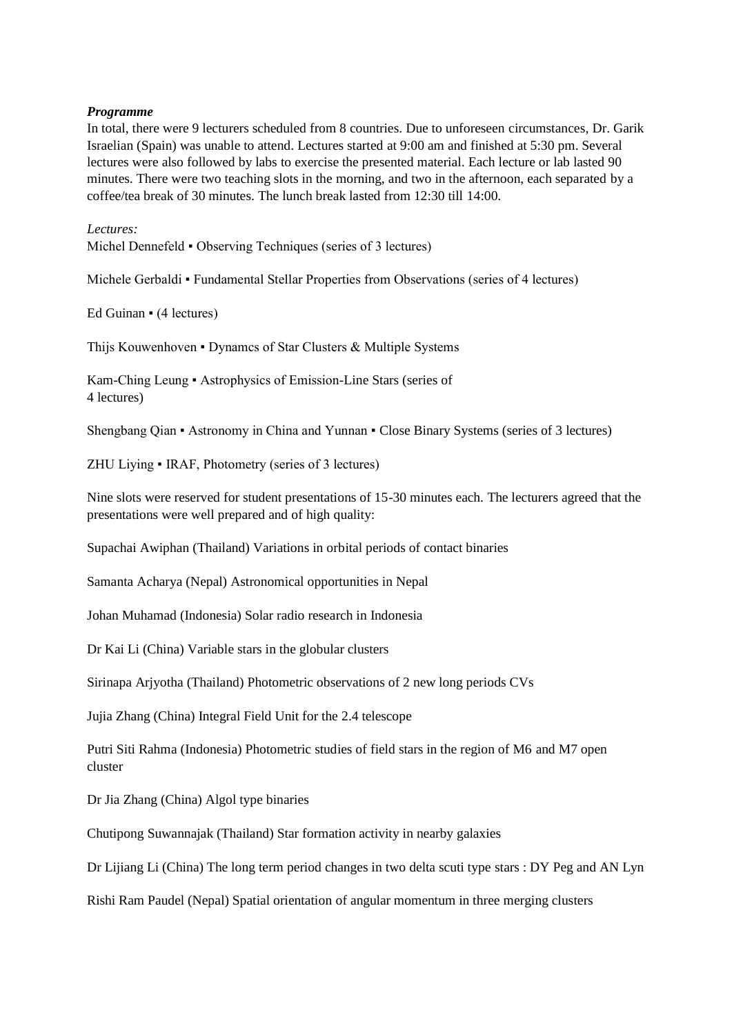## *Programme*

In total, there were 9 lecturers scheduled from 8 countries. Due to unforeseen circumstances, Dr. Garik Israelian (Spain) was unable to attend. Lectures started at 9:00 am and finished at 5:30 pm. Several lectures were also followed by labs to exercise the presented material. Each lecture or lab lasted 90 minutes. There were two teaching slots in the morning, and two in the afternoon, each separated by a coffee/tea break of 30 minutes. The lunch break lasted from 12:30 till 14:00.

*Lectures:*

Michel Dennefeld • Observing Techniques (series of 3 lectures)

Michele Gerbaldi • Fundamental Stellar Properties from Observations (series of 4 lectures)

Ed Guinan • (4 lectures)

Thijs Kouwenhoven • Dynamcs of Star Clusters & Multiple Systems

Kam-Ching Leung ▪ Astrophysics of Emission-Line Stars (series of 4 lectures)

Shengbang Qian ▪ Astronomy in China and Yunnan ▪ Close Binary Systems (series of 3 lectures)

ZHU Liying ▪ IRAF, Photometry (series of 3 lectures)

Nine slots were reserved for student presentations of 15-30 minutes each. The lecturers agreed that the presentations were well prepared and of high quality:

Supachai Awiphan (Thailand) Variations in orbital periods of contact binaries

Samanta Acharya (Nepal) Astronomical opportunities in Nepal

Johan Muhamad (Indonesia) Solar radio research in Indonesia

Dr Kai Li (China) Variable stars in the globular clusters

Sirinapa Arjyotha (Thailand) Photometric observations of 2 new long periods CVs

Jujia Zhang (China) Integral Field Unit for the 2.4 telescope

Putri Siti Rahma (Indonesia) Photometric studies of field stars in the region of M6 and M7 open cluster

Dr Jia Zhang (China) Algol type binaries

Chutipong Suwannajak (Thailand) Star formation activity in nearby galaxies

Dr Lijiang Li (China) The long term period changes in two delta scuti type stars : DY Peg and AN Lyn

Rishi Ram Paudel (Nepal) Spatial orientation of angular momentum in three merging clusters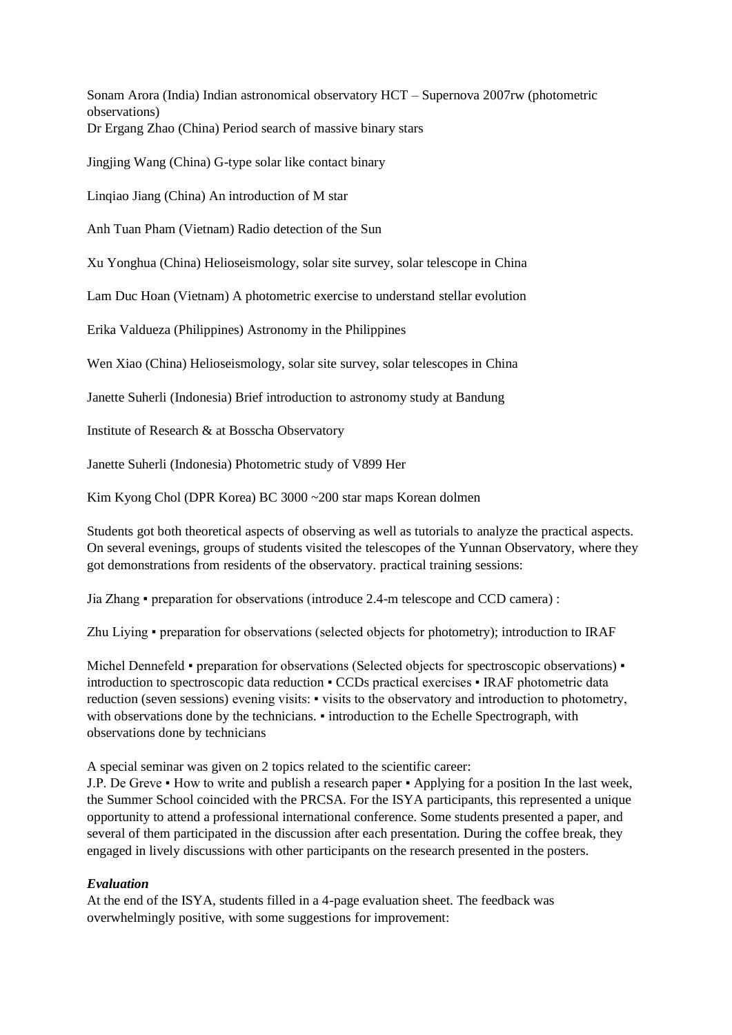Sonam Arora (India) Indian astronomical observatory HCT – Supernova 2007rw (photometric observations) Dr Ergang Zhao (China) Period search of massive binary stars

Jingjing Wang (China) G-type solar like contact binary

Linqiao Jiang (China) An introduction of M star

Anh Tuan Pham (Vietnam) Radio detection of the Sun

Xu Yonghua (China) Helioseismology, solar site survey, solar telescope in China

Lam Duc Hoan (Vietnam) A photometric exercise to understand stellar evolution

Erika Valdueza (Philippines) Astronomy in the Philippines

Wen Xiao (China) Helioseismology, solar site survey, solar telescopes in China

Janette Suherli (Indonesia) Brief introduction to astronomy study at Bandung

Institute of Research & at Bosscha Observatory

Janette Suherli (Indonesia) Photometric study of V899 Her

Kim Kyong Chol (DPR Korea) BC 3000 ~200 star maps Korean dolmen

Students got both theoretical aspects of observing as well as tutorials to analyze the practical aspects. On several evenings, groups of students visited the telescopes of the Yunnan Observatory, where they got demonstrations from residents of the observatory. practical training sessions:

Jia Zhang ▪ preparation for observations (introduce 2.4-m telescope and CCD camera) :

Zhu Liying ▪ preparation for observations (selected objects for photometry); introduction to IRAF

Michel Dennefeld • preparation for observations (Selected objects for spectroscopic observations) • introduction to spectroscopic data reduction ▪ CCDs practical exercises ▪ IRAF photometric data reduction (seven sessions) evening visits: • visits to the observatory and introduction to photometry, with observations done by the technicians. • introduction to the Echelle Spectrograph, with observations done by technicians

A special seminar was given on 2 topics related to the scientific career:

J.P. De Greve • How to write and publish a research paper • Applying for a position In the last week, the Summer School coincided with the PRCSA. For the ISYA participants, this represented a unique opportunity to attend a professional international conference. Some students presented a paper, and several of them participated in the discussion after each presentation. During the coffee break, they engaged in lively discussions with other participants on the research presented in the posters.

## *Evaluation*

At the end of the ISYA, students filled in a 4-page evaluation sheet. The feedback was overwhelmingly positive, with some suggestions for improvement: